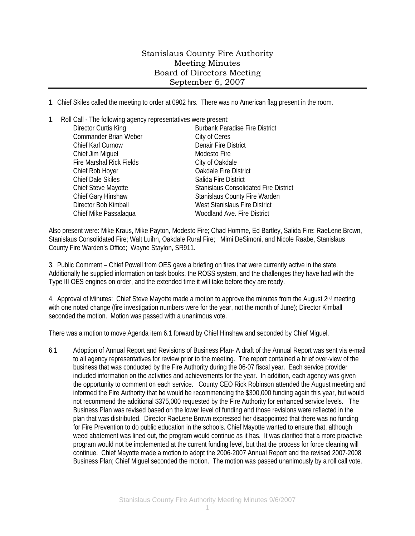## Stanislaus County Fire Authority Meeting Minutes Board of Directors Meeting September 6, 2007

1. Chief Skiles called the meeting to order at 0902 hrs. There was no American flag present in the room.

1. Roll Call - The following agency representatives were present:

| Director Curtis King            | <b>Burbank Paradise Fire District</b>        |
|---------------------------------|----------------------------------------------|
| Commander Brian Weber           | City of Ceres                                |
| Chief Karl Curnow               | <b>Denair Fire District</b>                  |
| Chief Jim Miguel                | Modesto Fire                                 |
| <b>Fire Marshal Rick Fields</b> | City of Oakdale                              |
| Chief Rob Hoyer                 | <b>Oakdale Fire District</b>                 |
| <b>Chief Dale Skiles</b>        | Salida Fire District                         |
| Chief Steve Mayotte             | <b>Stanislaus Consolidated Fire District</b> |
| Chief Gary Hinshaw              | <b>Stanislaus County Fire Warden</b>         |
| Director Bob Kimball            | West Stanislaus Fire District                |
| Chief Mike Passalaqua           | <b>Woodland Ave. Fire District</b>           |
|                                 |                                              |

Also present were: Mike Kraus, Mike Payton, Modesto Fire; Chad Homme, Ed Bartley, Salida Fire; RaeLene Brown, Stanislaus Consolidated Fire; Walt Luihn, Oakdale Rural Fire; Mimi DeSimoni, and Nicole Raabe, Stanislaus County Fire Warden's Office; Wayne Staylon, SR911.

3. Public Comment – Chief Powell from OES gave a briefing on fires that were currently active in the state. Additionally he supplied information on task books, the ROSS system, and the challenges they have had with the Type III OES engines on order, and the extended time it will take before they are ready.

4. Approval of Minutes: Chief Steve Mayotte made a motion to approve the minutes from the August 2<sup>nd</sup> meeting with one noted change (fire investigation numbers were for the year, not the month of June); Director Kimball seconded the motion. Motion was passed with a unanimous vote.

There was a motion to move Agenda item 6.1 forward by Chief Hinshaw and seconded by Chief Miguel.

6.1 Adoption of Annual Report and Revisions of Business Plan- A draft of the Annual Report was sent via e-mail to all agency representatives for review prior to the meeting. The report contained a brief over-view of the business that was conducted by the Fire Authority during the 06-07 fiscal year. Each service provider included information on the activities and achievements for the year. In addition, each agency was given the opportunity to comment on each service. County CEO Rick Robinson attended the August meeting and informed the Fire Authority that he would be recommending the \$300,000 funding again this year, but would not recommend the additional \$375,000 requested by the Fire Authority for enhanced service levels. The Business Plan was revised based on the lower level of funding and those revisions were reflected in the plan that was distributed. Director RaeLene Brown expressed her disappointed that there was no funding for Fire Prevention to do public education in the schools. Chief Mayotte wanted to ensure that, although weed abatement was lined out, the program would continue as it has. It was clarified that a more proactive program would not be implemented at the current funding level, but that the process for force cleaning will continue. Chief Mayotte made a motion to adopt the 2006-2007 Annual Report and the revised 2007-2008 Business Plan; Chief Miguel seconded the motion. The motion was passed unanimously by a roll call vote.